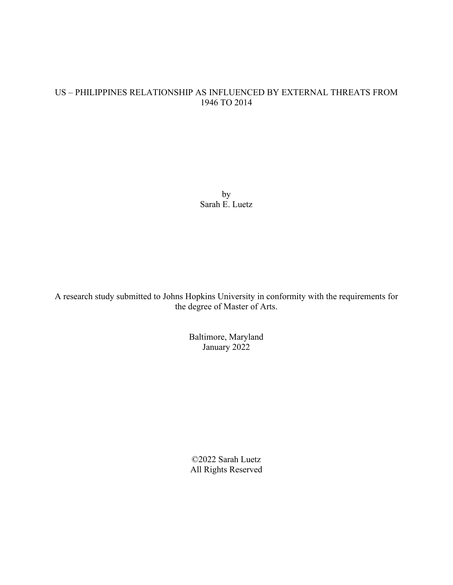# US – PHILIPPINES RELATIONSHIP AS INFLUENCED BY EXTERNAL THREATS FROM 1946 TO 2014

by Sarah E. Luetz

A research study submitted to Johns Hopkins University in conformity with the requirements for the degree of Master of Arts.

> Baltimore, Maryland January 2022

©2022 Sarah Luetz All Rights Reserved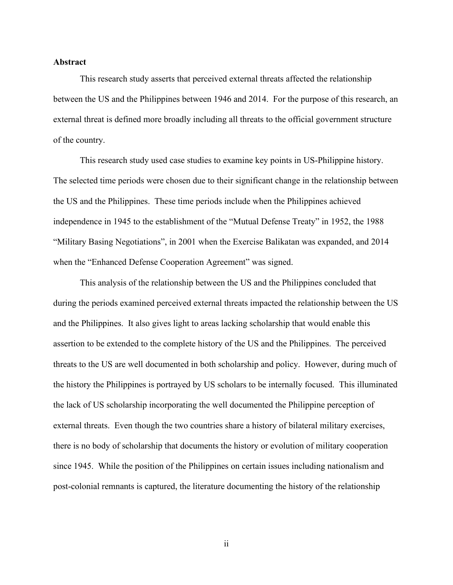### **Abstract**

This research study asserts that perceived external threats affected the relationship between the US and the Philippines between 1946 and 2014. For the purpose of this research, an external threat is defined more broadly including all threats to the official government structure of the country.

This research study used case studies to examine key points in US-Philippine history. The selected time periods were chosen due to their significant change in the relationship between the US and the Philippines. These time periods include when the Philippines achieved independence in 1945 to the establishment of the "Mutual Defense Treaty" in 1952, the 1988 "Military Basing Negotiations", in 2001 when the Exercise Balikatan was expanded, and 2014 when the "Enhanced Defense Cooperation Agreement" was signed.

This analysis of the relationship between the US and the Philippines concluded that during the periods examined perceived external threats impacted the relationship between the US and the Philippines. It also gives light to areas lacking scholarship that would enable this assertion to be extended to the complete history of the US and the Philippines. The perceived threats to the US are well documented in both scholarship and policy. However, during much of the history the Philippines is portrayed by US scholars to be internally focused. This illuminated the lack of US scholarship incorporating the well documented the Philippine perception of external threats. Even though the two countries share a history of bilateral military exercises, there is no body of scholarship that documents the history or evolution of military cooperation since 1945. While the position of the Philippines on certain issues including nationalism and post-colonial remnants is captured, the literature documenting the history of the relationship

ii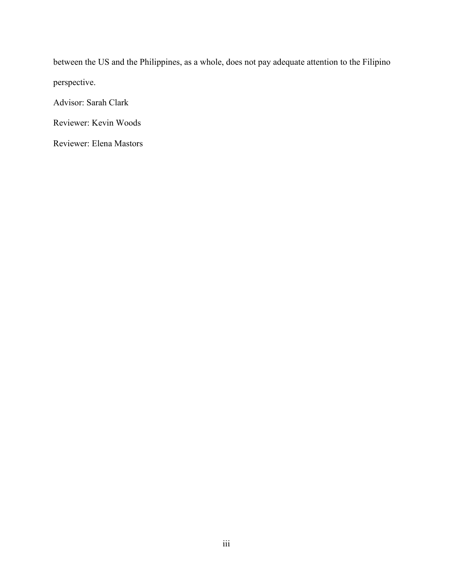between the US and the Philippines, as a whole, does not pay adequate attention to the Filipino perspective.

Advisor: Sarah Clark

Reviewer: Kevin Woods

Reviewer: Elena Mastors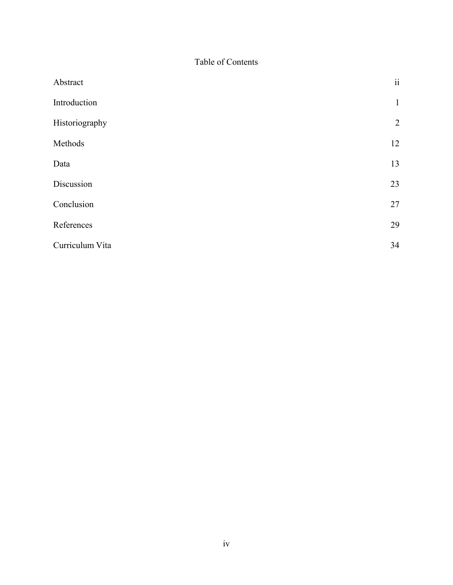Table of Contents

| Abstract        | $\ddot{\rm n}$ |
|-----------------|----------------|
| Introduction    | $\mathbf{1}$   |
| Historiography  | $\overline{2}$ |
| Methods         | 12             |
| Data            | 13             |
| Discussion      | 23             |
| Conclusion      | 27             |
| References      | 29             |
| Curriculum Vita | 34             |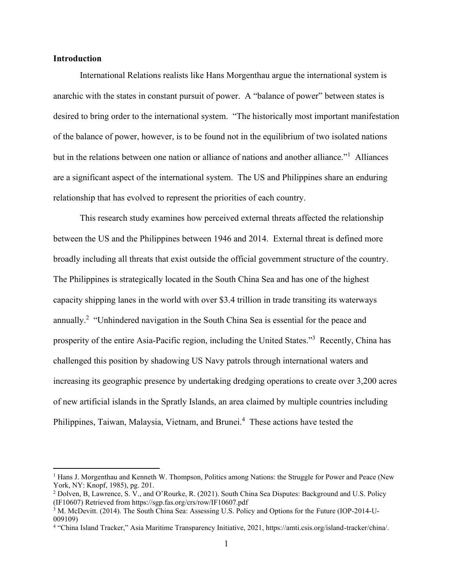## **Introduction**

International Relations realists like Hans Morgenthau argue the international system is anarchic with the states in constant pursuit of power. A "balance of power" between states is desired to bring order to the international system. "The historically most important manifestation of the balance of power, however, is to be found not in the equilibrium of two isolated nations but in the relations between one nation or alliance of nations and another alliance."<sup>1</sup> Alliances are a significant aspect of the international system. The US and Philippines share an enduring relationship that has evolved to represent the priorities of each country.

This research study examines how perceived external threats affected the relationship between the US and the Philippines between 1946 and 2014. External threat is defined more broadly including all threats that exist outside the official government structure of the country. The Philippines is strategically located in the South China Sea and has one of the highest capacity shipping lanes in the world with over \$3.4 trillion in trade transiting its waterways annually.<sup>2</sup> "Unhindered navigation in the South China Sea is essential for the peace and prosperity of the entire Asia-Pacific region, including the United States."<sup>3</sup> Recently, China has challenged this position by shadowing US Navy patrols through international waters and increasing its geographic presence by undertaking dredging operations to create over 3,200 acres of new artificial islands in the Spratly Islands, an area claimed by multiple countries including Philippines, Taiwan, Malaysia, Vietnam, and Brunei.<sup>4</sup> These actions have tested the

 $<sup>1</sup>$  Hans J. Morgenthau and Kenneth W. Thompson, Politics among Nations: the Struggle for Power and Peace (New</sup> York, NY: Knopf, 1985), pg. 201.

<sup>2</sup> Dolven, B, Lawrence, S. V., and O'Rourke, R. (2021). South China Sea Disputes: Background and U.S. Policy (IF10607) Retrieved from https://sgp.fas.org/crs/row/IF10607.pdf

<sup>3</sup> M. McDevitt. (2014). The South China Sea: Assessing U.S. Policy and Options for the Future (IOP-2014-U-009109)

<sup>4</sup> "China Island Tracker," Asia Maritime Transparency Initiative, 2021, https://amti.csis.org/island-tracker/china/.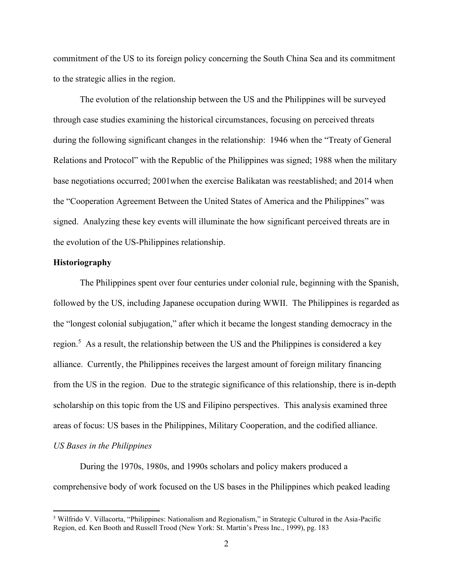commitment of the US to its foreign policy concerning the South China Sea and its commitment to the strategic allies in the region.

The evolution of the relationship between the US and the Philippines will be surveyed through case studies examining the historical circumstances, focusing on perceived threats during the following significant changes in the relationship: 1946 when the "Treaty of General Relations and Protocol" with the Republic of the Philippines was signed; 1988 when the military base negotiations occurred; 2001when the exercise Balikatan was reestablished; and 2014 when the "Cooperation Agreement Between the United States of America and the Philippines" was signed. Analyzing these key events will illuminate the how significant perceived threats are in the evolution of the US-Philippines relationship.

# **Historiography**

The Philippines spent over four centuries under colonial rule, beginning with the Spanish, followed by the US, including Japanese occupation during WWII. The Philippines is regarded as the "longest colonial subjugation," after which it became the longest standing democracy in the region.<sup>5</sup> As a result, the relationship between the US and the Philippines is considered a key alliance. Currently, the Philippines receives the largest amount of foreign military financing from the US in the region. Due to the strategic significance of this relationship, there is in-depth scholarship on this topic from the US and Filipino perspectives. This analysis examined three areas of focus: US bases in the Philippines, Military Cooperation, and the codified alliance. *US Bases in the Philippines*

During the 1970s, 1980s, and 1990s scholars and policy makers produced a comprehensive body of work focused on the US bases in the Philippines which peaked leading

<sup>5</sup> Wilfrido V. Villacorta, "Philippines: Nationalism and Regionalism," in Strategic Cultured in the Asia-Pacific Region, ed. Ken Booth and Russell Trood (New York: St. Martin's Press Inc., 1999), pg. 183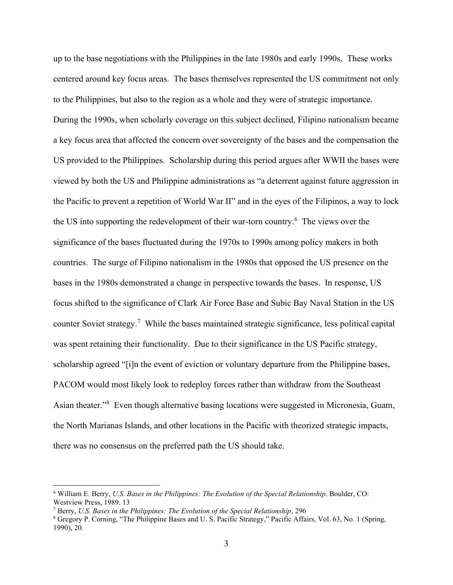up to the base negotiations with the Philippines in the late 1980s and early 1990s. These works centered around key focus areas. The bases themselves represented the US commitment not only to the Philippines, but also to the region as a whole and they were of strategic importance. During the 1990s, when scholarly coverage on this subject declined, Filipino nationalism became a key focus area that affected the concern over sovereignty of the bases and the compensation the US provided to the Philippines. Scholarship during this period argues after WWII the bases were viewed by both the US and Philippine administrations as "a deterrent against future aggression in the Pacific to prevent a repetition of World War II" and in the eyes of the Filipinos, a way to lock the US into supporting the redevelopment of their war-torn country.<sup>6</sup> The views over the significance of the bases fluctuated during the 1970s to 1990s among policy makers in both countries. The surge of Filipino nationalism in the 1980s that opposed the US presence on the bases in the 1980s demonstrated a change in perspective towards the bases. In response, US focus shifted to the significance of Clark Air Force Base and Subic Bay Naval Station in the US counter Soviet strategy.<sup>7</sup> While the bases maintained strategic significance, less political capital was spent retaining their functionality. Due to their significance in the US Pacific strategy, scholarship agreed "[i]n the event of eviction or voluntary departure from the Philippine bases, PACOM would most likely look to redeploy forces rather than withdraw from the Southeast Asian theater."<sup>8</sup> Even though alternative basing locations were suggested in Micronesia, Guam, the North Marianas Islands, and other locations in the Pacific with theorized strategic impacts, there was no consensus on the preferred path the US should take.

<sup>6</sup> William E. Berry, *U.S. Bases in the Philippines: The Evolution of the Special Relationship*. Boulder, CO: Westview Press, 1989. 13

<sup>7</sup> Berry, *U.S. Bases in the Philippines: The Evolution of the Special Relationship*, 296

<sup>8</sup> Gregory P. Corning, "The Philippine Bases and U. S. Pacific Strategy," Pacific Affairs, Vol. 63, No. 1 (Spring, 1990), 20.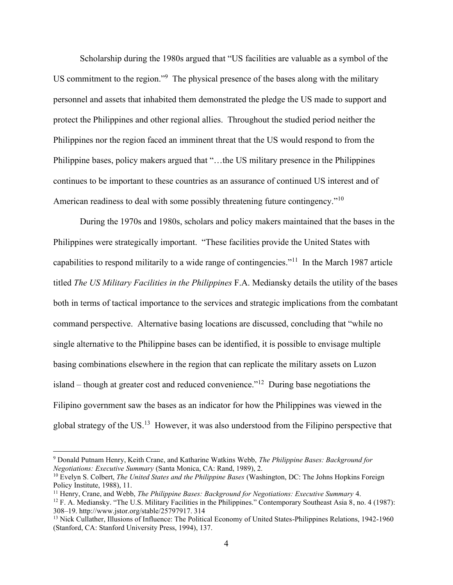Scholarship during the 1980s argued that "US facilities are valuable as a symbol of the US commitment to the region."<sup>9</sup> The physical presence of the bases along with the military personnel and assets that inhabited them demonstrated the pledge the US made to support and protect the Philippines and other regional allies. Throughout the studied period neither the Philippines nor the region faced an imminent threat that the US would respond to from the Philippine bases, policy makers argued that "…the US military presence in the Philippines continues to be important to these countries as an assurance of continued US interest and of American readiness to deal with some possibly threatening future contingency."<sup>10</sup>

During the 1970s and 1980s, scholars and policy makers maintained that the bases in the Philippines were strategically important. "These facilities provide the United States with capabilities to respond militarily to a wide range of contingencies."<sup>11</sup> In the March 1987 article titled *The US Military Facilities in the Philippines* F.A. Mediansky details the utility of the bases both in terms of tactical importance to the services and strategic implications from the combatant command perspective. Alternative basing locations are discussed, concluding that "while no single alternative to the Philippine bases can be identified, it is possible to envisage multiple basing combinations elsewhere in the region that can replicate the military assets on Luzon island – though at greater cost and reduced convenience."<sup>12</sup> During base negotiations the Filipino government saw the bases as an indicator for how the Philippines was viewed in the global strategy of the US. $<sup>13</sup>$  However, it was also understood from the Filipino perspective that</sup>

<sup>9</sup> Donald Putnam Henry, Keith Crane, and Katharine Watkins Webb, *The Philippine Bases: Background for Negotiations: Executive Summary* (Santa Monica, CA: Rand, 1989), 2.

<sup>10</sup> Evelyn S. Colbert, *The United States and the Philippine Bases* (Washington, DC: The Johns Hopkins Foreign Policy Institute, 1988), 11.

<sup>11</sup> Henry, Crane, and Webb, *The Philippine Bases: Background for Negotiations: Executive Summary* 4.

 $12$  F. A. Mediansky. "The U.S. Military Facilities in the Philippines." Contemporary Southeast Asia 8, no. 4 (1987): 308–19. http://www.jstor.org/stable/25797917. 314

<sup>&</sup>lt;sup>13</sup> Nick Cullather, Illusions of Influence: The Political Economy of United States-Philippines Relations, 1942-1960 (Stanford, CA: Stanford University Press, 1994), 137.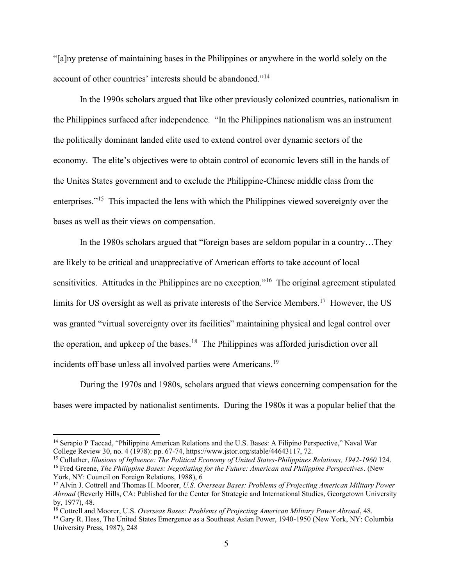"[a]ny pretense of maintaining bases in the Philippines or anywhere in the world solely on the account of other countries' interests should be abandoned."<sup>14</sup>

In the 1990s scholars argued that like other previously colonized countries, nationalism in the Philippines surfaced after independence. "In the Philippines nationalism was an instrument the politically dominant landed elite used to extend control over dynamic sectors of the economy. The elite's objectives were to obtain control of economic levers still in the hands of the Unites States government and to exclude the Philippine-Chinese middle class from the enterprises."<sup>15</sup> This impacted the lens with which the Philippines viewed sovereignty over the bases as well as their views on compensation.

In the 1980s scholars argued that "foreign bases are seldom popular in a country…They are likely to be critical and unappreciative of American efforts to take account of local sensitivities. Attitudes in the Philippines are no exception."<sup>16</sup> The original agreement stipulated limits for US oversight as well as private interests of the Service Members.<sup>17</sup> However, the US was granted "virtual sovereignty over its facilities" maintaining physical and legal control over the operation, and upkeep of the bases.<sup>18</sup> The Philippines was afforded jurisdiction over all incidents off base unless all involved parties were Americans.<sup>19</sup>

During the 1970s and 1980s, scholars argued that views concerning compensation for the bases were impacted by nationalist sentiments. During the 1980s it was a popular belief that the

<sup>14</sup> Serapio P Taccad, "Philippine American Relations and the U.S. Bases: A Filipino Perspective," Naval War College Review 30, no. 4 (1978): pp. 67-74, https://www.jstor.org/stable/44643117, 72.

<sup>&</sup>lt;sup>15</sup> Cullather, *Illusions of Influence: The Political Economy of United States-Philippines Relations, 1942-1960* 124. <sup>16</sup> Fred Greene, *The Philippine Bases: Negotiating for the Future: American and Philippine Perspectives*. (New York, NY: Council on Foreign Relations, 1988), 6

<sup>17</sup> Alvin J. Cottrell and Thomas H. Moorer, *U.S. Overseas Bases: Problems of Projecting American Military Power Abroad* (Beverly Hills, CA: Published for the Center for Strategic and International Studies, Georgetown University by, 1977), 48.

<sup>18</sup> Cottrell and Moorer, U.S. *Overseas Bases: Problems of Projecting American Military Power Abroad*, 48.

<sup>&</sup>lt;sup>19</sup> Gary R. Hess, The United States Emergence as a Southeast Asian Power, 1940-1950 (New York, NY: Columbia University Press, 1987), 248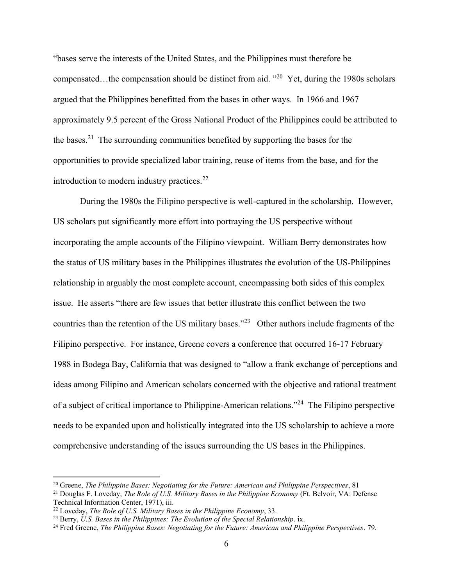"bases serve the interests of the United States, and the Philippines must therefore be compensated...the compensation should be distinct from aid.  $"^{20}$  Yet, during the 1980s scholars argued that the Philippines benefitted from the bases in other ways. In 1966 and 1967 approximately 9.5 percent of the Gross National Product of the Philippines could be attributed to the bases.<sup>21</sup> The surrounding communities benefited by supporting the bases for the opportunities to provide specialized labor training, reuse of items from the base, and for the introduction to modern industry practices.<sup>22</sup>

During the 1980s the Filipino perspective is well-captured in the scholarship. However, US scholars put significantly more effort into portraying the US perspective without incorporating the ample accounts of the Filipino viewpoint. William Berry demonstrates how the status of US military bases in the Philippines illustrates the evolution of the US-Philippines relationship in arguably the most complete account, encompassing both sides of this complex issue. He asserts "there are few issues that better illustrate this conflict between the two countries than the retention of the US military bases.<sup>"23</sup> Other authors include fragments of the Filipino perspective. For instance, Greene covers a conference that occurred 16-17 February 1988 in Bodega Bay, California that was designed to "allow a frank exchange of perceptions and ideas among Filipino and American scholars concerned with the objective and rational treatment of a subject of critical importance to Philippine-American relations."<sup>24</sup> The Filipino perspective needs to be expanded upon and holistically integrated into the US scholarship to achieve a more comprehensive understanding of the issues surrounding the US bases in the Philippines.

<sup>20</sup> Greene, *The Philippine Bases: Negotiating for the Future: American and Philippine Perspectives*, 81

<sup>21</sup> Douglas F. Loveday, *The Role of U.S. Military Bases in the Philippine Economy* (Ft. Belvoir, VA: Defense Technical Information Center, 1971), iii.

<sup>22</sup> Loveday, *The Role of U.S. Military Bases in the Philippine Economy*, 33.

<sup>23</sup> Berry, *U.S. Bases in the Philippines: The Evolution of the Special Relationship*. ix.

<sup>24</sup> Fred Greene, *The Philippine Bases: Negotiating for the Future: American and Philippine Perspectives*. 79.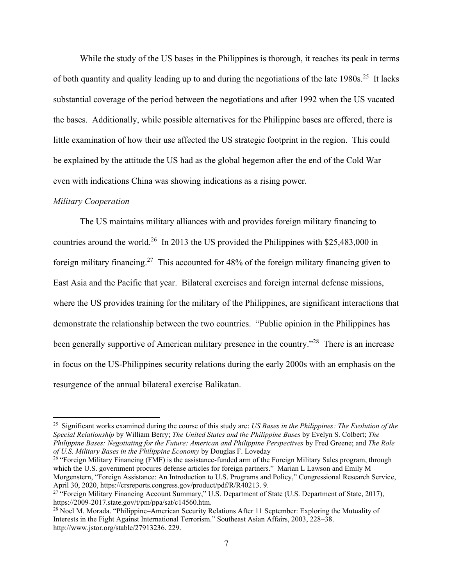While the study of the US bases in the Philippines is thorough, it reaches its peak in terms of both quantity and quality leading up to and during the negotiations of the late  $1980s$ .<sup>25</sup> It lacks substantial coverage of the period between the negotiations and after 1992 when the US vacated the bases. Additionally, while possible alternatives for the Philippine bases are offered, there is little examination of how their use affected the US strategic footprint in the region. This could be explained by the attitude the US had as the global hegemon after the end of the Cold War even with indications China was showing indications as a rising power.

#### *Military Cooperation*

The US maintains military alliances with and provides foreign military financing to countries around the world.<sup>26</sup> In 2013 the US provided the Philippines with \$25,483,000 in foreign military financing.<sup>27</sup> This accounted for 48% of the foreign military financing given to East Asia and the Pacific that year. Bilateral exercises and foreign internal defense missions, where the US provides training for the military of the Philippines, are significant interactions that demonstrate the relationship between the two countries. "Public opinion in the Philippines has been generally supportive of American military presence in the country."<sup>28</sup> There is an increase in focus on the US-Philippines security relations during the early 2000s with an emphasis on the resurgence of the annual bilateral exercise Balikatan.

<sup>25</sup> Significant works examined during the course of this study are: *US Bases in the Philippines: The Evolution of the Special Relationship* by William Berry; *The United States and the Philippine Bases* by Evelyn S. Colbert; *The Philippine Bases: Negotiating for the Future: American and Philippine Perspectives* by Fred Greene; and *The Role of U.S. Military Bases in the Philippine Economy* by Douglas F. Loveday

 $26$  "Foreign Military Financing (FMF) is the assistance-funded arm of the Foreign Military Sales program, through which the U.S. government procures defense articles for foreign partners." Marian L Lawson and Emily M Morgenstern, "Foreign Assistance: An Introduction to U.S. Programs and Policy," Congressional Research Service, April 30, 2020, https://crsreports.congress.gov/product/pdf/R/R40213. 9.

<sup>&</sup>lt;sup>27</sup> "Foreign Military Financing Account Summary," U.S. Department of State (U.S. Department of State, 2017), https://2009-2017.state.gov/t/pm/ppa/sat/c14560.htm.

<sup>&</sup>lt;sup>28</sup> Noel M. Morada. "Philippine–American Security Relations After 11 September: Exploring the Mutuality of Interests in the Fight Against International Terrorism." Southeast Asian Affairs, 2003, 228–38. http://www.jstor.org/stable/27913236. 229.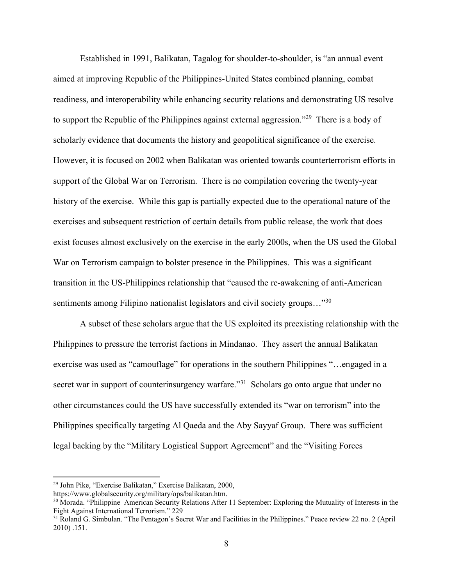Established in 1991, Balikatan, Tagalog for shoulder-to-shoulder, is "an annual event aimed at improving Republic of the Philippines-United States combined planning, combat readiness, and interoperability while enhancing security relations and demonstrating US resolve to support the Republic of the Philippines against external aggression."<sup>29</sup> There is a body of scholarly evidence that documents the history and geopolitical significance of the exercise. However, it is focused on 2002 when Balikatan was oriented towards counterterrorism efforts in support of the Global War on Terrorism. There is no compilation covering the twenty-year history of the exercise. While this gap is partially expected due to the operational nature of the exercises and subsequent restriction of certain details from public release, the work that does exist focuses almost exclusively on the exercise in the early 2000s, when the US used the Global War on Terrorism campaign to bolster presence in the Philippines. This was a significant transition in the US-Philippines relationship that "caused the re-awakening of anti-American sentiments among Filipino nationalist legislators and civil society groups..."<sup>30</sup>

A subset of these scholars argue that the US exploited its preexisting relationship with the Philippines to pressure the terrorist factions in Mindanao. They assert the annual Balikatan exercise was used as "camouflage" for operations in the southern Philippines "…engaged in a secret war in support of counterinsurgency warfare."<sup>31</sup> Scholars go onto argue that under no other circumstances could the US have successfully extended its "war on terrorism" into the Philippines specifically targeting Al Qaeda and the Aby Sayyaf Group. There was sufficient legal backing by the "Military Logistical Support Agreement" and the "Visiting Forces

<sup>29</sup> John Pike, "Exercise Balikatan," Exercise Balikatan, 2000,

https://www.globalsecurity.org/military/ops/balikatan.htm.

<sup>&</sup>lt;sup>30</sup> Morada. "Philippine–American Security Relations After 11 September: Exploring the Mutuality of Interests in the Fight Against International Terrorism." 229

<sup>&</sup>lt;sup>31</sup> Roland G. Simbulan. "The Pentagon's Secret War and Facilities in the Philippines." Peace review 22 no. 2 (April 2010) .151.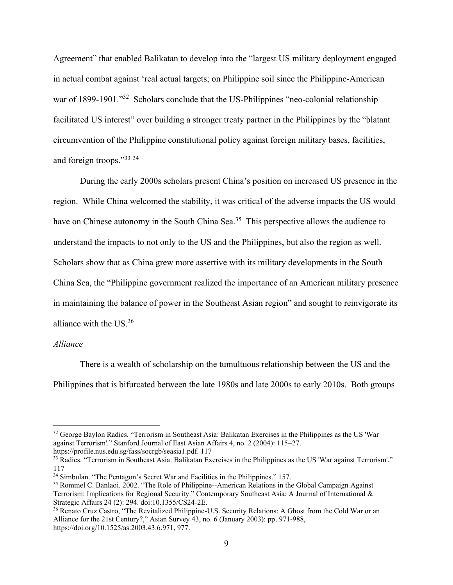Agreement" that enabled Balikatan to develop into the "largest US military deployment engaged in actual combat against 'real actual targets; on Philippine soil since the Philippine-American war of 1899-1901."<sup>32</sup> Scholars conclude that the US-Philippines "neo-colonial relationship facilitated US interest" over building a stronger treaty partner in the Philippines by the "blatant circumvention of the Philippine constitutional policy against foreign military bases, facilities, and foreign troops."<sup>33 34</sup>

During the early 2000s scholars present China's position on increased US presence in the region. While China welcomed the stability, it was critical of the adverse impacts the US would have on Chinese autonomy in the South China Sea.<sup>35</sup> This perspective allows the audience to understand the impacts to not only to the US and the Philippines, but also the region as well. Scholars show that as China grew more assertive with its military developments in the South China Sea, the "Philippine government realized the importance of an American military presence in maintaining the balance of power in the Southeast Asian region" and sought to reinvigorate its alliance with the US.<sup>36</sup>

# *Alliance*

There is a wealth of scholarship on the tumultuous relationship between the US and the Philippines that is bifurcated between the late 1980s and late 2000s to early 2010s. Both groups

https://profile.nus.edu.sg/fass/socrgb/seasia1.pdf. 117

<sup>&</sup>lt;sup>32</sup> George Baylon Radics. "Terrorism in Southeast Asia: Balikatan Exercises in the Philippines as the US 'War against Terrorism'." Stanford Journal of East Asian Affairs 4, no. 2 (2004): 115–27.

<sup>&</sup>lt;sup>33</sup> Radics. "Terrorism in Southeast Asia: Balikatan Exercises in the Philippines as the US 'War against Terrorism'." 117

<sup>&</sup>lt;sup>34</sup> Simbulan. "The Pentagon's Secret War and Facilities in the Philippines." 157.

<sup>35</sup> Rommel C. Banlaoi. 2002. "The Role of Philippine--American Relations in the Global Campaign Against Terrorism: Implications for Regional Security." Contemporary Southeast Asia: A Journal of International & Strategic Affairs 24 (2): 294. doi:10.1355/CS24-2E.

<sup>36</sup> Renato Cruz Castro, "The Revitalized Philippine-U.S. Security Relations: A Ghost from the Cold War or an Alliance for the 21st Century?," Asian Survey 43, no. 6 (January 2003): pp. 971-988, https://doi.org/10.1525/as.2003.43.6.971, 977.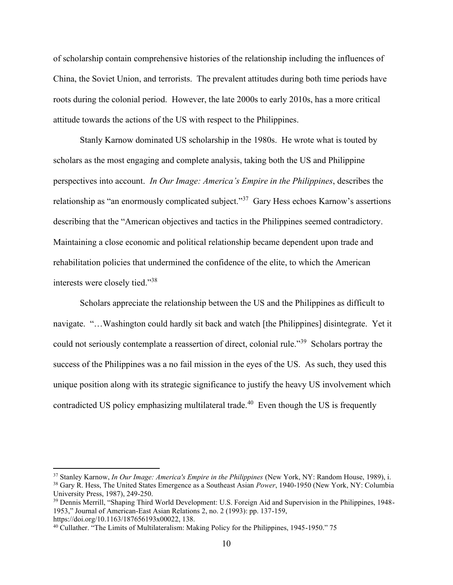of scholarship contain comprehensive histories of the relationship including the influences of China, the Soviet Union, and terrorists. The prevalent attitudes during both time periods have roots during the colonial period. However, the late 2000s to early 2010s, has a more critical attitude towards the actions of the US with respect to the Philippines.

Stanly Karnow dominated US scholarship in the 1980s. He wrote what is touted by scholars as the most engaging and complete analysis, taking both the US and Philippine perspectives into account. *In Our Image: America's Empire in the Philippines*, describes the relationship as "an enormously complicated subject."<sup>37</sup> Gary Hess echoes Karnow's assertions describing that the "American objectives and tactics in the Philippines seemed contradictory. Maintaining a close economic and political relationship became dependent upon trade and rehabilitation policies that undermined the confidence of the elite, to which the American interests were closely tied."<sup>38</sup>

Scholars appreciate the relationship between the US and the Philippines as difficult to navigate. "…Washington could hardly sit back and watch [the Philippines] disintegrate. Yet it could not seriously contemplate a reassertion of direct, colonial rule."<sup>39</sup> Scholars portray the success of the Philippines was a no fail mission in the eyes of the US. As such, they used this unique position along with its strategic significance to justify the heavy US involvement which contradicted US policy emphasizing multilateral trade.<sup>40</sup> Even though the US is frequently

<sup>37</sup> Stanley Karnow, *In Our Image: America's Empire in the Philippines* (New York, NY: Random House, 1989), i. <sup>38</sup> Gary R. Hess, The United States Emergence as a Southeast Asian *Power*, 1940-1950 (New York, NY: Columbia University Press, 1987), 249-250.

<sup>39</sup> Dennis Merrill, "Shaping Third World Development: U.S. Foreign Aid and Supervision in the Philippines, 1948- 1953," Journal of American-East Asian Relations 2, no. 2 (1993): pp. 137-159, https://doi.org/10.1163/187656193x00022, 138.

<sup>40</sup> Cullather. "The Limits of Multilateralism: Making Policy for the Philippines, 1945-1950." 75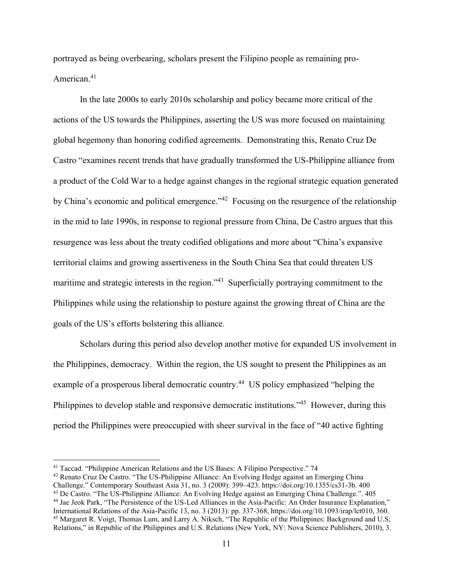portrayed as being overbearing, scholars present the Filipino people as remaining pro-American.<sup>41</sup>

In the late 2000s to early 2010s scholarship and policy became more critical of the actions of the US towards the Philippines, asserting the US was more focused on maintaining global hegemony than honoring codified agreements. Demonstrating this, Renato Cruz De Castro "examines recent trends that have gradually transformed the US-Philippine alliance from a product of the Cold War to a hedge against changes in the regional strategic equation generated by China's economic and political emergence."<sup>42</sup> Focusing on the resurgence of the relationship in the mid to late 1990s, in response to regional pressure from China, De Castro argues that this resurgence was less about the treaty codified obligations and more about "China's expansive territorial claims and growing assertiveness in the South China Sea that could threaten US maritime and strategic interests in the region."<sup>43</sup> Superficially portraying commitment to the Philippines while using the relationship to posture against the growing threat of China are the goals of the US's efforts bolstering this alliance.

Scholars during this period also develop another motive for expanded US involvement in the Philippines, democracy. Within the region, the US sought to present the Philippines as an example of a prosperous liberal democratic country.<sup>44</sup> US policy emphasized "helping the Philippines to develop stable and responsive democratic institutions."<sup>45</sup> However, during this period the Philippines were preoccupied with sheer survival in the face of "40 active fighting

<sup>42</sup> Renato Cruz De Castro. "The US-Philippine Alliance: An Evolving Hedge against an Emerging China Challenge." Contemporary Southeast Asia 31, no. 3 (2009): 399–423. https://doi.org/10.1355/cs31-3b. 400

<sup>41</sup> Taccad. "Philippine American Relations and the US Bases: A Filipino Perspective." 74

<sup>43</sup> De Castro. "The US-Philippine Alliance: An Evolving Hedge against an Emerging China Challenge.". 405 <sup>44</sup> Jae Jeok Park, "The Persistence of the US-Led Alliances in the Asia-Pacific: An Order Insurance Explanation,"

International Relations of the Asia-Pacific 13, no. 3 (2013): pp. 337-368, https://doi.org/10.1093/irap/lct010, 360. <sup>45</sup> Margaret R. Voigt, Thomas Lum, and Larry A. Niksch, "The Republic of the Philippines: Background and U.S; Relations," in Republic of the Philippines and U.S. Relations (New York, NY: Nova Science Publishers, 2010), 3.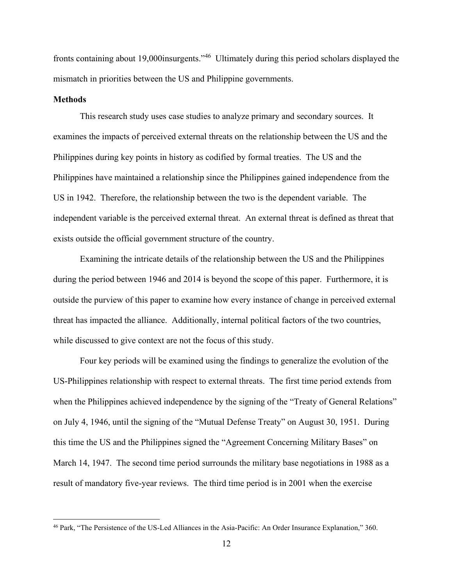fronts containing about 19,000 insurgents."<sup>46</sup> Ultimately during this period scholars displayed the mismatch in priorities between the US and Philippine governments.

#### **Methods**

This research study uses case studies to analyze primary and secondary sources. It examines the impacts of perceived external threats on the relationship between the US and the Philippines during key points in history as codified by formal treaties. The US and the Philippines have maintained a relationship since the Philippines gained independence from the US in 1942. Therefore, the relationship between the two is the dependent variable. The independent variable is the perceived external threat. An external threat is defined as threat that exists outside the official government structure of the country.

Examining the intricate details of the relationship between the US and the Philippines during the period between 1946 and 2014 is beyond the scope of this paper. Furthermore, it is outside the purview of this paper to examine how every instance of change in perceived external threat has impacted the alliance. Additionally, internal political factors of the two countries, while discussed to give context are not the focus of this study.

Four key periods will be examined using the findings to generalize the evolution of the US-Philippines relationship with respect to external threats. The first time period extends from when the Philippines achieved independence by the signing of the "Treaty of General Relations" on July 4, 1946, until the signing of the "Mutual Defense Treaty" on August 30, 1951. During this time the US and the Philippines signed the "Agreement Concerning Military Bases" on March 14, 1947. The second time period surrounds the military base negotiations in 1988 as a result of mandatory five-year reviews. The third time period is in 2001 when the exercise

<sup>46</sup> Park, "The Persistence of the US-Led Alliances in the Asia-Pacific: An Order Insurance Explanation," 360.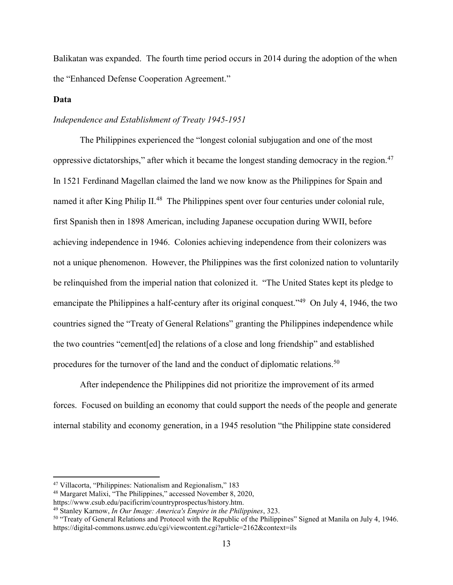Balikatan was expanded. The fourth time period occurs in 2014 during the adoption of the when the "Enhanced Defense Cooperation Agreement."

# **Data**

# *Independence and Establishment of Treaty 1945-1951*

The Philippines experienced the "longest colonial subjugation and one of the most oppressive dictatorships," after which it became the longest standing democracy in the region.<sup>47</sup> In 1521 Ferdinand Magellan claimed the land we now know as the Philippines for Spain and named it after King Philip II.<sup>48</sup> The Philippines spent over four centuries under colonial rule, first Spanish then in 1898 American, including Japanese occupation during WWII, before achieving independence in 1946. Colonies achieving independence from their colonizers was not a unique phenomenon. However, the Philippines was the first colonized nation to voluntarily be relinquished from the imperial nation that colonized it. "The United States kept its pledge to emancipate the Philippines a half-century after its original conquest."<sup>49</sup> On July 4, 1946, the two countries signed the "Treaty of General Relations" granting the Philippines independence while the two countries "cement[ed] the relations of a close and long friendship" and established procedures for the turnover of the land and the conduct of diplomatic relations.<sup>50</sup>

After independence the Philippines did not prioritize the improvement of its armed forces. Focused on building an economy that could support the needs of the people and generate internal stability and economy generation, in a 1945 resolution "the Philippine state considered

<sup>47</sup> Villacorta, "Philippines: Nationalism and Regionalism," 183

<sup>48</sup> Margaret Malixi, "The Philippines," accessed November 8, 2020,

https://www.csub.edu/pacificrim/countryprospectus/history.htm.

<sup>49</sup> Stanley Karnow, *In Our Image: America's Empire in the Philippines*, 323.

<sup>&</sup>lt;sup>50</sup> "Treaty of General Relations and Protocol with the Republic of the Philippines" Signed at Manila on July 4, 1946. https://digital-commons.usnwc.edu/cgi/viewcontent.cgi?article=2162&context=ils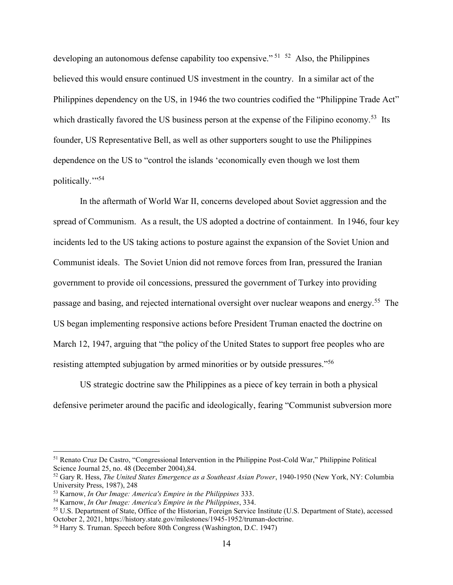developing an autonomous defense capability too expensive."<sup>51 52</sup> Also, the Philippines believed this would ensure continued US investment in the country. In a similar act of the Philippines dependency on the US, in 1946 the two countries codified the "Philippine Trade Act" which drastically favored the US business person at the expense of the Filipino economy.<sup>53</sup> Its founder, US Representative Bell, as well as other supporters sought to use the Philippines dependence on the US to "control the islands 'economically even though we lost them politically."<sup>54</sup>

In the aftermath of World War II, concerns developed about Soviet aggression and the spread of Communism. As a result, the US adopted a doctrine of containment. In 1946, four key incidents led to the US taking actions to posture against the expansion of the Soviet Union and Communist ideals. The Soviet Union did not remove forces from Iran, pressured the Iranian government to provide oil concessions, pressured the government of Turkey into providing passage and basing, and rejected international oversight over nuclear weapons and energy.<sup>55</sup> The US began implementing responsive actions before President Truman enacted the doctrine on March 12, 1947, arguing that "the policy of the United States to support free peoples who are resisting attempted subjugation by armed minorities or by outside pressures."<sup>56</sup>

US strategic doctrine saw the Philippines as a piece of key terrain in both a physical defensive perimeter around the pacific and ideologically, fearing "Communist subversion more

<sup>51</sup> Renato Cruz De Castro, "Congressional Intervention in the Philippine Post-Cold War," Philippine Political Science Journal 25, no. 48 (December 2004),84.

<sup>52</sup> Gary R. Hess, *The United States Emergence as a Southeast Asian Power*, 1940-1950 (New York, NY: Columbia University Press, 1987), 248

<sup>53</sup> Karnow, *In Our Image: America's Empire in the Philippines* 333.

<sup>54</sup> Karnow, *In Our Image: America's Empire in the Philippines*, 334.

<sup>55</sup> U.S. Department of State, Office of the Historian, Foreign Service Institute (U.S. Department of State), accessed October 2, 2021, https://history.state.gov/milestones/1945-1952/truman-doctrine.

<sup>56</sup> Harry S. Truman. Speech before 80th Congress (Washington, D.C. 1947)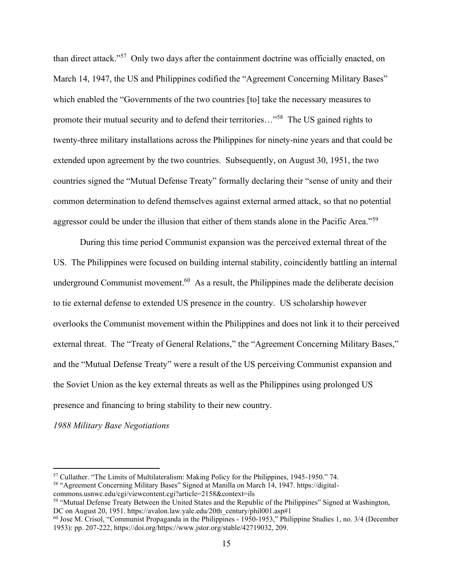than direct attack."<sup>57</sup> Only two days after the containment doctrine was officially enacted, on March 14, 1947, the US and Philippines codified the "Agreement Concerning Military Bases" which enabled the "Governments of the two countries [to] take the necessary measures to promote their mutual security and to defend their territories..."<sup>58</sup> The US gained rights to twenty-three military installations across the Philippines for ninety-nine years and that could be extended upon agreement by the two countries. Subsequently, on August 30, 1951, the two countries signed the "Mutual Defense Treaty" formally declaring their "sense of unity and their common determination to defend themselves against external armed attack, so that no potential aggressor could be under the illusion that either of them stands alone in the Pacific Area."<sup>59</sup>

During this time period Communist expansion was the perceived external threat of the US. The Philippines were focused on building internal stability, coincidently battling an internal underground Communist movement.<sup>60</sup> As a result, the Philippines made the deliberate decision to tie external defense to extended US presence in the country. US scholarship however overlooks the Communist movement within the Philippines and does not link it to their perceived external threat. The "Treaty of General Relations," the "Agreement Concerning Military Bases," and the "Mutual Defense Treaty" were a result of the US perceiving Communist expansion and the Soviet Union as the key external threats as well as the Philippines using prolonged US presence and financing to bring stability to their new country.

*1988 Military Base Negotiations*

```
commons.usnwc.edu/cgi/viewcontent.cgi?article=2158&context=ils
```
<sup>57</sup> Cullather. "The Limits of Multilateralism: Making Policy for the Philippines, 1945-1950." 74. <sup>58</sup> "Agreement Concerning Military Bases" Signed at Manilla on March 14, 1947. https://digital-

<sup>59</sup> "Mutual Defense Treaty Between the United States and the Republic of the Philippines" Signed at Washington, DC on August 20, 1951. https://avalon.law.yale.edu/20th\_century/phil001.asp#1

<sup>60</sup> Jose M. Crisol, "Communist Propaganda in the Philippines - 1950-1953," Philippine Studies 1, no. 3/4 (December 1953): pp. 207-222, https://doi.org/https://www.jstor.org/stable/42719032, 209.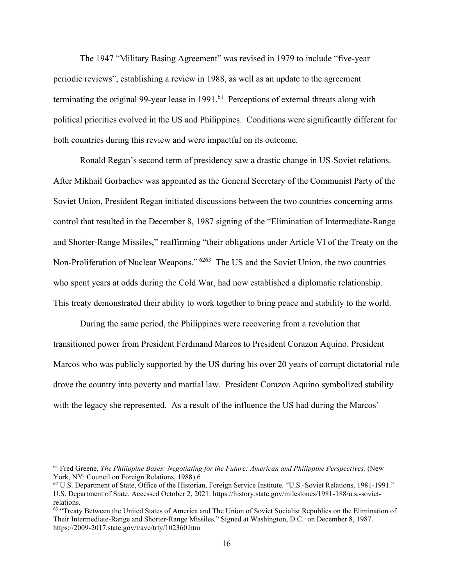The 1947 "Military Basing Agreement" was revised in 1979 to include "five-year periodic reviews", establishing a review in 1988, as well as an update to the agreement terminating the original 99-year lease in  $1991$ .<sup>61</sup> Perceptions of external threats along with political priorities evolved in the US and Philippines. Conditions were significantly different for both countries during this review and were impactful on its outcome.

Ronald Regan's second term of presidency saw a drastic change in US-Soviet relations. After Mikhail Gorbachev was appointed as the General Secretary of the Communist Party of the Soviet Union, President Regan initiated discussions between the two countries concerning arms control that resulted in the December 8, 1987 signing of the "Elimination of Intermediate-Range and Shorter-Range Missiles," reaffirming "their obligations under Article VI of the Treaty on the Non-Proliferation of Nuclear Weapons."<sup>6263</sup> The US and the Soviet Union, the two countries who spent years at odds during the Cold War, had now established a diplomatic relationship. This treaty demonstrated their ability to work together to bring peace and stability to the world.

During the same period, the Philippines were recovering from a revolution that transitioned power from President Ferdinand Marcos to President Corazon Aquino. President Marcos who was publicly supported by the US during his over 20 years of corrupt dictatorial rule drove the country into poverty and martial law. President Corazon Aquino symbolized stability with the legacy she represented. As a result of the influence the US had during the Marcos'

<sup>61</sup> Fred Greene, *The Philippine Bases: Negotiating for the Future: American and Philippine Perspectives.* (New York, NY: Council on Foreign Relations, 1988) 6

<sup>62</sup> U.S. Department of State, Office of the Historian, Foreign Service Institute. "U.S.-Soviet Relations, 1981-1991." U.S. Department of State. Accessed October 2, 2021. https://history.state.gov/milestones/1981-188/u.s.-sovietrelations.

<sup>&</sup>lt;sup>63</sup> "Treaty Between the United States of America and The Union of Soviet Socialist Republics on the Elimination of Their Intermediate-Range and Shorter-Range Missiles." Signed at Washington, D.C. on December 8, 1987. https://2009-2017.state.gov/t/avc/trty/102360.htm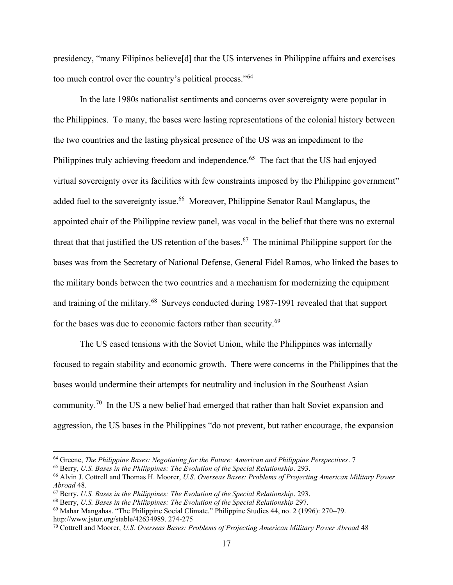presidency, "many Filipinos believe[d] that the US intervenes in Philippine affairs and exercises too much control over the country's political process."<sup>64</sup>

In the late 1980s nationalist sentiments and concerns over sovereignty were popular in the Philippines. To many, the bases were lasting representations of the colonial history between the two countries and the lasting physical presence of the US was an impediment to the Philippines truly achieving freedom and independence.<sup>65</sup> The fact that the US had enjoyed virtual sovereignty over its facilities with few constraints imposed by the Philippine government" added fuel to the sovereignty issue.<sup>66</sup> Moreover, Philippine Senator Raul Manglapus, the appointed chair of the Philippine review panel, was vocal in the belief that there was no external threat that that justified the US retention of the bases.<sup>67</sup> The minimal Philippine support for the bases was from the Secretary of National Defense, General Fidel Ramos, who linked the bases to the military bonds between the two countries and a mechanism for modernizing the equipment and training of the military.<sup>68</sup> Surveys conducted during 1987-1991 revealed that that support for the bases was due to economic factors rather than security.<sup>69</sup>

The US eased tensions with the Soviet Union, while the Philippines was internally focused to regain stability and economic growth. There were concerns in the Philippines that the bases would undermine their attempts for neutrality and inclusion in the Southeast Asian community.<sup>70</sup> In the US a new belief had emerged that rather than halt Soviet expansion and aggression, the US bases in the Philippines "do not prevent, but rather encourage, the expansion

<sup>64</sup> Greene, *The Philippine Bases: Negotiating for the Future: American and Philippine Perspectives*. 7

<sup>65</sup> Berry, *U.S. Bases in the Philippines: The Evolution of the Special Relationship*. 293.

<sup>66</sup> Alvin J. Cottrell and Thomas H. Moorer, *U.S. Overseas Bases: Problems of Projecting American Military Power Abroad* 48.

<sup>67</sup> Berry, *U.S. Bases in the Philippines: The Evolution of the Special Relationship*. 293.

<sup>68</sup> Berry, *U.S. Bases in the Philippines: The Evolution of the Special Relationship* 297.

<sup>69</sup> Mahar Mangahas. "The Philippine Social Climate." Philippine Studies 44, no. 2 (1996): 270–79. http://www.jstor.org/stable/42634989. 274-275

<sup>70</sup> Cottrell and Moorer, *U.S. Overseas Bases: Problems of Projecting American Military Power Abroad* 48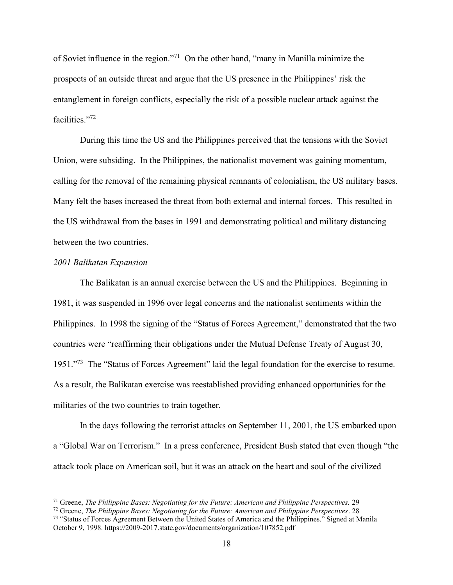of Soviet influence in the region."<sup>71</sup> On the other hand, "many in Manilla minimize the prospects of an outside threat and argue that the US presence in the Philippines' risk the entanglement in foreign conflicts, especially the risk of a possible nuclear attack against the facilities."<sup>72</sup>

During this time the US and the Philippines perceived that the tensions with the Soviet Union, were subsiding. In the Philippines, the nationalist movement was gaining momentum, calling for the removal of the remaining physical remnants of colonialism, the US military bases. Many felt the bases increased the threat from both external and internal forces. This resulted in the US withdrawal from the bases in 1991 and demonstrating political and military distancing between the two countries.

#### *2001 Balikatan Expansion*

The Balikatan is an annual exercise between the US and the Philippines. Beginning in 1981, it was suspended in 1996 over legal concerns and the nationalist sentiments within the Philippines. In 1998 the signing of the "Status of Forces Agreement," demonstrated that the two countries were "reaffirming their obligations under the Mutual Defense Treaty of August 30, 1951."<sup>73</sup> The "Status of Forces Agreement" laid the legal foundation for the exercise to resume. As a result, the Balikatan exercise was reestablished providing enhanced opportunities for the militaries of the two countries to train together.

In the days following the terrorist attacks on September 11, 2001, the US embarked upon a "Global War on Terrorism." In a press conference, President Bush stated that even though "the attack took place on American soil, but it was an attack on the heart and soul of the civilized

<sup>71</sup> Greene, *The Philippine Bases: Negotiating for the Future: American and Philippine Perspectives.* 29

<sup>72</sup> Greene, *The Philippine Bases: Negotiating for the Future: American and Philippine Perspectives*. 28

<sup>&</sup>lt;sup>73</sup> "Status of Forces Agreement Between the United States of America and the Philippines." Signed at Manila October 9, 1998. https://2009-2017.state.gov/documents/organization/107852.pdf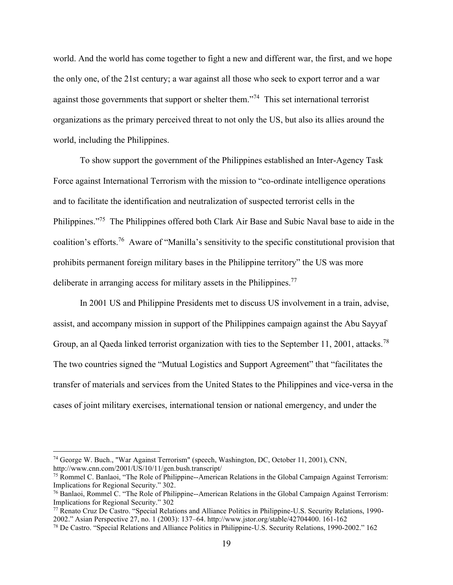world. And the world has come together to fight a new and different war, the first, and we hope the only one, of the 21st century; a war against all those who seek to export terror and a war against those governments that support or shelter them."<sup>74</sup> This set international terrorist organizations as the primary perceived threat to not only the US, but also its allies around the world, including the Philippines.

To show support the government of the Philippines established an Inter-Agency Task Force against International Terrorism with the mission to "co-ordinate intelligence operations and to facilitate the identification and neutralization of suspected terrorist cells in the Philippines."<sup>75</sup> The Philippines offered both Clark Air Base and Subic Naval base to aide in the coalition's efforts.<sup>76</sup> Aware of "Manilla's sensitivity to the specific constitutional provision that prohibits permanent foreign military bases in the Philippine territory" the US was more deliberate in arranging access for military assets in the Philippines.<sup>77</sup>

In 2001 US and Philippine Presidents met to discuss US involvement in a train, advise, assist, and accompany mission in support of the Philippines campaign against the Abu Sayyaf Group, an al Qaeda linked terrorist organization with ties to the September 11, 2001, attacks.<sup>78</sup> The two countries signed the "Mutual Logistics and Support Agreement" that "facilitates the transfer of materials and services from the United States to the Philippines and vice-versa in the cases of joint military exercises, international tension or national emergency, and under the

<sup>74</sup> George W. Buch., "War Against Terrorism" (speech, Washington, DC, October 11, 2001), CNN, http://www.cnn.com/2001/US/10/11/gen.bush.transcript/

<sup>&</sup>lt;sup>75</sup> Rommel C. Banlaoi, "The Role of Philippine--American Relations in the Global Campaign Against Terrorism: Implications for Regional Security." 302.

<sup>76</sup> Banlaoi, Rommel C. "The Role of Philippine--American Relations in the Global Campaign Against Terrorism: Implications for Regional Security." 302

<sup>77</sup> Renato Cruz De Castro. "Special Relations and Alliance Politics in Philippine-U.S. Security Relations, 1990- 2002." Asian Perspective 27, no. 1 (2003): 137–64. http://www.jstor.org/stable/42704400. 161-162

<sup>78</sup> De Castro. "Special Relations and Alliance Politics in Philippine-U.S. Security Relations, 1990-2002." 162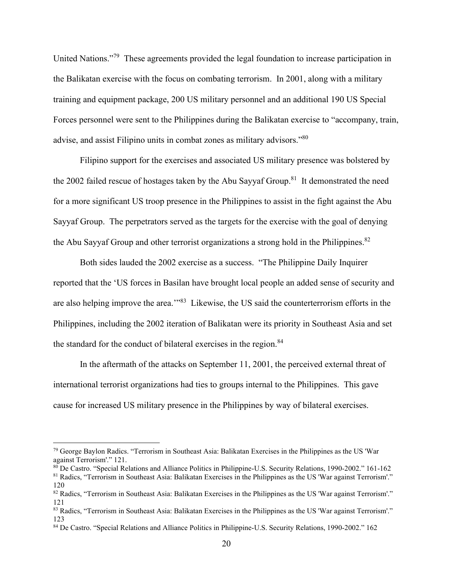United Nations."<sup>79</sup> These agreements provided the legal foundation to increase participation in the Balikatan exercise with the focus on combating terrorism. In 2001, along with a military training and equipment package, 200 US military personnel and an additional 190 US Special Forces personnel were sent to the Philippines during the Balikatan exercise to "accompany, train, advise, and assist Filipino units in combat zones as military advisors."<sup>80</sup>

Filipino support for the exercises and associated US military presence was bolstered by the 2002 failed rescue of hostages taken by the Abu Sayyaf Group.<sup>81</sup> It demonstrated the need for a more significant US troop presence in the Philippines to assist in the fight against the Abu Sayyaf Group. The perpetrators served as the targets for the exercise with the goal of denying the Abu Sayyaf Group and other terrorist organizations a strong hold in the Philippines. $82$ 

Both sides lauded the 2002 exercise as a success. "The Philippine Daily Inquirer reported that the 'US forces in Basilan have brought local people an added sense of security and are also helping improve the area."<sup>83</sup> Likewise, the US said the counterterrorism efforts in the Philippines, including the 2002 iteration of Balikatan were its priority in Southeast Asia and set the standard for the conduct of bilateral exercises in the region.<sup>84</sup>

In the aftermath of the attacks on September 11, 2001, the perceived external threat of international terrorist organizations had ties to groups internal to the Philippines. This gave cause for increased US military presence in the Philippines by way of bilateral exercises.

 $79$  George Baylon Radics. "Terrorism in Southeast Asia: Balikatan Exercises in the Philippines as the US 'War against Terrorism'." 121.

<sup>&</sup>lt;sup>80</sup> De Castro. "Special Relations and Alliance Politics in Philippine-U.S. Security Relations, 1990-2002." 161-162 <sup>81</sup> Radics, "Terrorism in Southeast Asia: Balikatan Exercises in the Philippines as the US 'War against Terrorism'." 120

<sup>82</sup> Radics, "Terrorism in Southeast Asia: Balikatan Exercises in the Philippines as the US 'War against Terrorism'." 121

<sup>&</sup>lt;sup>83</sup> Radics, "Terrorism in Southeast Asia: Balikatan Exercises in the Philippines as the US 'War against Terrorism'." 123

<sup>84</sup> De Castro. "Special Relations and Alliance Politics in Philippine-U.S. Security Relations, 1990-2002." 162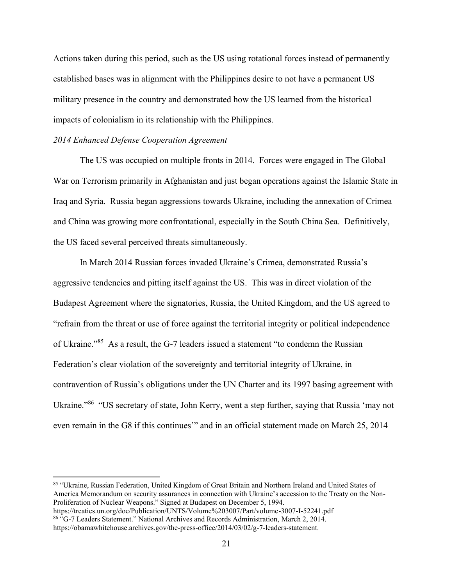Actions taken during this period, such as the US using rotational forces instead of permanently established bases was in alignment with the Philippines desire to not have a permanent US military presence in the country and demonstrated how the US learned from the historical impacts of colonialism in its relationship with the Philippines.

#### *2014 Enhanced Defense Cooperation Agreement*

The US was occupied on multiple fronts in 2014. Forces were engaged in The Global War on Terrorism primarily in Afghanistan and just began operations against the Islamic State in Iraq and Syria. Russia began aggressions towards Ukraine, including the annexation of Crimea and China was growing more confrontational, especially in the South China Sea. Definitively, the US faced several perceived threats simultaneously.

In March 2014 Russian forces invaded Ukraine's Crimea, demonstrated Russia's aggressive tendencies and pitting itself against the US. This was in direct violation of the Budapest Agreement where the signatories, Russia, the United Kingdom, and the US agreed to "refrain from the threat or use of force against the territorial integrity or political independence of Ukraine."<sup>85</sup> As a result, the G-7 leaders issued a statement "to condemn the Russian Federation's clear violation of the sovereignty and territorial integrity of Ukraine, in contravention of Russia's obligations under the UN Charter and its 1997 basing agreement with Ukraine."<sup>86</sup> "US secretary of state, John Kerry, went a step further, saying that Russia 'may not even remain in the G8 if this continues'" and in an official statement made on March 25, 2014

<sup>85</sup> "Ukraine, Russian Federation, United Kingdom of Great Britain and Northern Ireland and United States of America Memorandum on security assurances in connection with Ukraine's accession to the Treaty on the Non-Proliferation of Nuclear Weapons." Signed at Budapest on December 5, 1994. https://treaties.un.org/doc/Publication/UNTS/Volume%203007/Part/volume-3007-I-52241.pdf

<sup>86</sup> "G-7 Leaders Statement." National Archives and Records Administration, March 2, 2014. https://obamawhitehouse.archives.gov/the-press-office/2014/03/02/g-7-leaders-statement.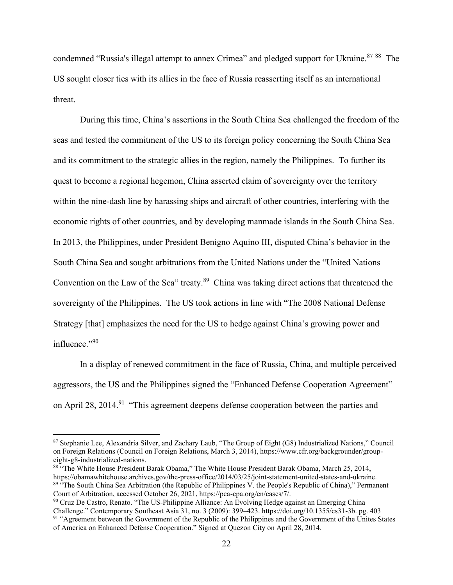condemned "Russia's illegal attempt to annex Crimea" and pledged support for Ukraine.<sup>87 88</sup> The US sought closer ties with its allies in the face of Russia reasserting itself as an international threat.

During this time, China's assertions in the South China Sea challenged the freedom of the seas and tested the commitment of the US to its foreign policy concerning the South China Sea and its commitment to the strategic allies in the region, namely the Philippines. To further its quest to become a regional hegemon, China asserted claim of sovereignty over the territory within the nine-dash line by harassing ships and aircraft of other countries, interfering with the economic rights of other countries, and by developing manmade islands in the South China Sea. In 2013, the Philippines, under President Benigno Aquino III, disputed China's behavior in the South China Sea and sought arbitrations from the United Nations under the "United Nations Convention on the Law of the Sea" treaty.<sup>89</sup> China was taking direct actions that threatened the sovereignty of the Philippines. The US took actions in line with "The 2008 National Defense Strategy [that] emphasizes the need for the US to hedge against China's growing power and influence."90

In a display of renewed commitment in the face of Russia, China, and multiple perceived aggressors, the US and the Philippines signed the "Enhanced Defense Cooperation Agreement" on April 28, 2014.<sup>91</sup> "This agreement deepens defense cooperation between the parties and

<sup>87</sup> Stephanie Lee, Alexandria Silver, and Zachary Laub, "The Group of Eight (G8) Industrialized Nations," Council on Foreign Relations (Council on Foreign Relations, March 3, 2014), https://www.cfr.org/backgrounder/groupeight-g8-industrialized-nations.

<sup>88 &</sup>quot;The White House President Barak Obama," The White House President Barak Obama, March 25, 2014, https://obamawhitehouse.archives.gov/the-press-office/2014/03/25/joint-statement-united-states-and-ukraine. <sup>89</sup> "The South China Sea Arbitration (the Republic of Philippines V. the People's Republic of China)," Permanent Court of Arbitration, accessed October 26, 2021, https://pca-cpa.org/en/cases/7/.

<sup>&</sup>lt;sup>90</sup> Cruz De Castro, Renato. "The US-Philippine Alliance: An Evolving Hedge against an Emerging China Challenge." Contemporary Southeast Asia 31, no. 3 (2009): 399–423. https://doi.org/10.1355/cs31-3b. pg. 403 <sup>91</sup> "Agreement between the Government of the Republic of the Philippines and the Government of the Unites States of America on Enhanced Defense Cooperation." Signed at Quezon City on April 28, 2014.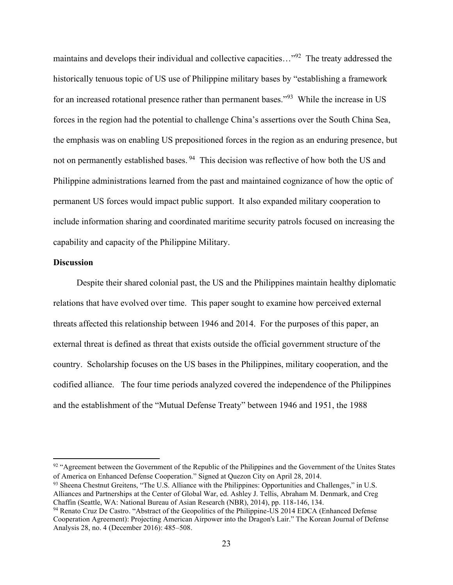maintains and develops their individual and collective capacities..."<sup>92</sup> The treaty addressed the historically tenuous topic of US use of Philippine military bases by "establishing a framework for an increased rotational presence rather than permanent bases."<sup>93</sup> While the increase in US forces in the region had the potential to challenge China's assertions over the South China Sea, the emphasis was on enabling US prepositioned forces in the region as an enduring presence, but not on permanently established bases.<sup>94</sup> This decision was reflective of how both the US and Philippine administrations learned from the past and maintained cognizance of how the optic of permanent US forces would impact public support. It also expanded military cooperation to include information sharing and coordinated maritime security patrols focused on increasing the capability and capacity of the Philippine Military.

#### **Discussion**

Despite their shared colonial past, the US and the Philippines maintain healthy diplomatic relations that have evolved over time. This paper sought to examine how perceived external threats affected this relationship between 1946 and 2014. For the purposes of this paper, an external threat is defined as threat that exists outside the official government structure of the country. Scholarship focuses on the US bases in the Philippines, military cooperation, and the codified alliance. The four time periods analyzed covered the independence of the Philippines and the establishment of the "Mutual Defense Treaty" between 1946 and 1951, the 1988

<sup>&</sup>lt;sup>92</sup> "Agreement between the Government of the Republic of the Philippines and the Government of the Unites States of America on Enhanced Defense Cooperation." Signed at Quezon City on April 28, 2014.

<sup>93</sup> Sheena Chestnut Greitens, "The U.S. Alliance with the Philippines: Opportunities and Challenges," in U.S. Alliances and Partnerships at the Center of Global War, ed. Ashley J. Tellis, Abraham M. Denmark, and Creg Chaffin (Seattle, WA: National Bureau of Asian Research (NBR), 2014), pp. 118-146, 134.

<sup>94</sup> Renato Cruz De Castro. "Abstract of the Geopolitics of the Philippine-US 2014 EDCA (Enhanced Defense Cooperation Agreement): Projecting American Airpower into the Dragon's Lair." The Korean Journal of Defense Analysis 28, no. 4 (December 2016): 485–508.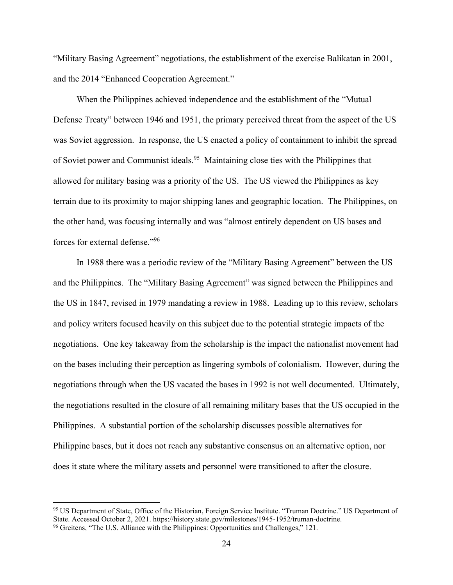"Military Basing Agreement" negotiations, the establishment of the exercise Balikatan in 2001, and the 2014 "Enhanced Cooperation Agreement."

When the Philippines achieved independence and the establishment of the "Mutual Defense Treaty" between 1946 and 1951, the primary perceived threat from the aspect of the US was Soviet aggression. In response, the US enacted a policy of containment to inhibit the spread of Soviet power and Communist ideals.<sup>95</sup> Maintaining close ties with the Philippines that allowed for military basing was a priority of the US. The US viewed the Philippines as key terrain due to its proximity to major shipping lanes and geographic location. The Philippines, on the other hand, was focusing internally and was "almost entirely dependent on US bases and forces for external defense."<sup>96</sup>

In 1988 there was a periodic review of the "Military Basing Agreement" between the US and the Philippines. The "Military Basing Agreement" was signed between the Philippines and the US in 1847, revised in 1979 mandating a review in 1988. Leading up to this review, scholars and policy writers focused heavily on this subject due to the potential strategic impacts of the negotiations. One key takeaway from the scholarship is the impact the nationalist movement had on the bases including their perception as lingering symbols of colonialism. However, during the negotiations through when the US vacated the bases in 1992 is not well documented. Ultimately, the negotiations resulted in the closure of all remaining military bases that the US occupied in the Philippines. A substantial portion of the scholarship discusses possible alternatives for Philippine bases, but it does not reach any substantive consensus on an alternative option, nor does it state where the military assets and personnel were transitioned to after the closure.

<sup>95</sup> US Department of State, Office of the Historian, Foreign Service Institute. "Truman Doctrine." US Department of State. Accessed October 2, 2021. https://history.state.gov/milestones/1945-1952/truman-doctrine. <sup>96</sup> Greitens, "The U.S. Alliance with the Philippines: Opportunities and Challenges," 121.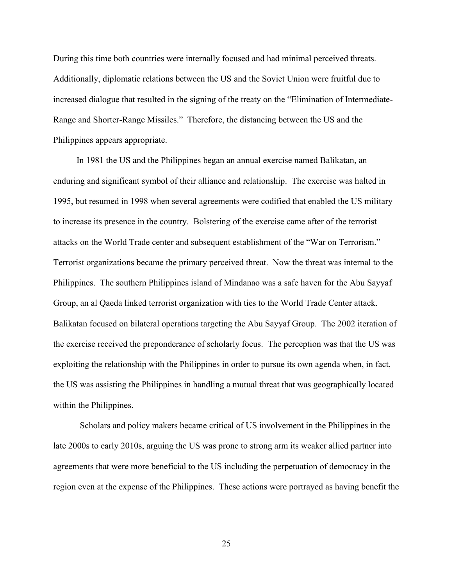During this time both countries were internally focused and had minimal perceived threats. Additionally, diplomatic relations between the US and the Soviet Union were fruitful due to increased dialogue that resulted in the signing of the treaty on the "Elimination of Intermediate-Range and Shorter-Range Missiles." Therefore, the distancing between the US and the Philippines appears appropriate.

In 1981 the US and the Philippines began an annual exercise named Balikatan, an enduring and significant symbol of their alliance and relationship. The exercise was halted in 1995, but resumed in 1998 when several agreements were codified that enabled the US military to increase its presence in the country. Bolstering of the exercise came after of the terrorist attacks on the World Trade center and subsequent establishment of the "War on Terrorism." Terrorist organizations became the primary perceived threat. Now the threat was internal to the Philippines. The southern Philippines island of Mindanao was a safe haven for the Abu Sayyaf Group, an al Qaeda linked terrorist organization with ties to the World Trade Center attack. Balikatan focused on bilateral operations targeting the Abu Sayyaf Group. The 2002 iteration of the exercise received the preponderance of scholarly focus. The perception was that the US was exploiting the relationship with the Philippines in order to pursue its own agenda when, in fact, the US was assisting the Philippines in handling a mutual threat that was geographically located within the Philippines.

Scholars and policy makers became critical of US involvement in the Philippines in the late 2000s to early 2010s, arguing the US was prone to strong arm its weaker allied partner into agreements that were more beneficial to the US including the perpetuation of democracy in the region even at the expense of the Philippines. These actions were portrayed as having benefit the

25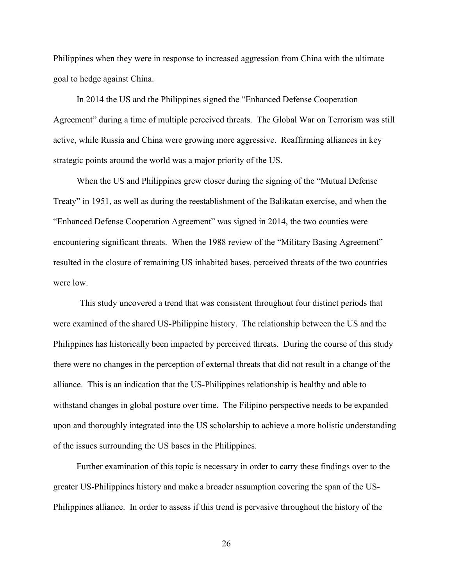Philippines when they were in response to increased aggression from China with the ultimate goal to hedge against China.

In 2014 the US and the Philippines signed the "Enhanced Defense Cooperation Agreement" during a time of multiple perceived threats. The Global War on Terrorism was still active, while Russia and China were growing more aggressive. Reaffirming alliances in key strategic points around the world was a major priority of the US.

When the US and Philippines grew closer during the signing of the "Mutual Defense Treaty" in 1951, as well as during the reestablishment of the Balikatan exercise, and when the "Enhanced Defense Cooperation Agreement" was signed in 2014, the two counties were encountering significant threats. When the 1988 review of the "Military Basing Agreement" resulted in the closure of remaining US inhabited bases, perceived threats of the two countries were low.

This study uncovered a trend that was consistent throughout four distinct periods that were examined of the shared US-Philippine history. The relationship between the US and the Philippines has historically been impacted by perceived threats. During the course of this study there were no changes in the perception of external threats that did not result in a change of the alliance. This is an indication that the US-Philippines relationship is healthy and able to withstand changes in global posture over time. The Filipino perspective needs to be expanded upon and thoroughly integrated into the US scholarship to achieve a more holistic understanding of the issues surrounding the US bases in the Philippines.

Further examination of this topic is necessary in order to carry these findings over to the greater US-Philippines history and make a broader assumption covering the span of the US-Philippines alliance. In order to assess if this trend is pervasive throughout the history of the

26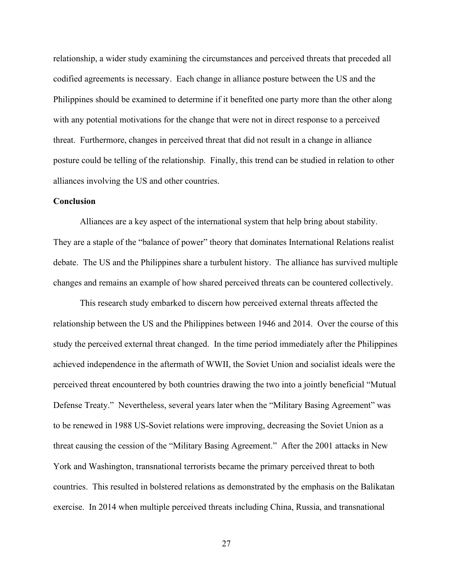relationship, a wider study examining the circumstances and perceived threats that preceded all codified agreements is necessary. Each change in alliance posture between the US and the Philippines should be examined to determine if it benefited one party more than the other along with any potential motivations for the change that were not in direct response to a perceived threat. Furthermore, changes in perceived threat that did not result in a change in alliance posture could be telling of the relationship. Finally, this trend can be studied in relation to other alliances involving the US and other countries.

#### **Conclusion**

Alliances are a key aspect of the international system that help bring about stability. They are a staple of the "balance of power" theory that dominates International Relations realist debate. The US and the Philippines share a turbulent history. The alliance has survived multiple changes and remains an example of how shared perceived threats can be countered collectively.

This research study embarked to discern how perceived external threats affected the relationship between the US and the Philippines between 1946 and 2014. Over the course of this study the perceived external threat changed. In the time period immediately after the Philippines achieved independence in the aftermath of WWII, the Soviet Union and socialist ideals were the perceived threat encountered by both countries drawing the two into a jointly beneficial "Mutual Defense Treaty." Nevertheless, several years later when the "Military Basing Agreement" was to be renewed in 1988 US-Soviet relations were improving, decreasing the Soviet Union as a threat causing the cession of the "Military Basing Agreement." After the 2001 attacks in New York and Washington, transnational terrorists became the primary perceived threat to both countries. This resulted in bolstered relations as demonstrated by the emphasis on the Balikatan exercise. In 2014 when multiple perceived threats including China, Russia, and transnational

27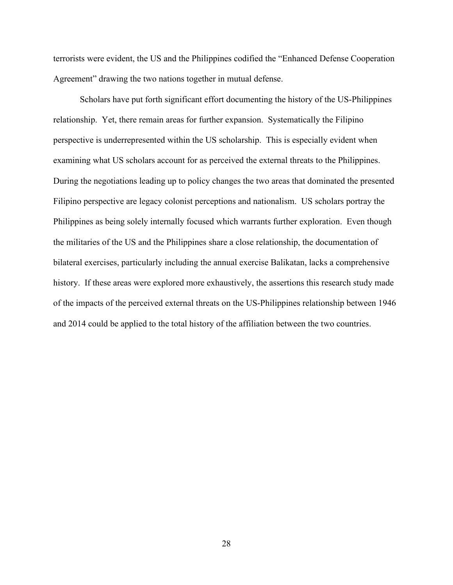terrorists were evident, the US and the Philippines codified the "Enhanced Defense Cooperation Agreement" drawing the two nations together in mutual defense.

Scholars have put forth significant effort documenting the history of the US-Philippines relationship. Yet, there remain areas for further expansion. Systematically the Filipino perspective is underrepresented within the US scholarship. This is especially evident when examining what US scholars account for as perceived the external threats to the Philippines. During the negotiations leading up to policy changes the two areas that dominated the presented Filipino perspective are legacy colonist perceptions and nationalism. US scholars portray the Philippines as being solely internally focused which warrants further exploration. Even though the militaries of the US and the Philippines share a close relationship, the documentation of bilateral exercises, particularly including the annual exercise Balikatan, lacks a comprehensive history. If these areas were explored more exhaustively, the assertions this research study made of the impacts of the perceived external threats on the US-Philippines relationship between 1946 and 2014 could be applied to the total history of the affiliation between the two countries.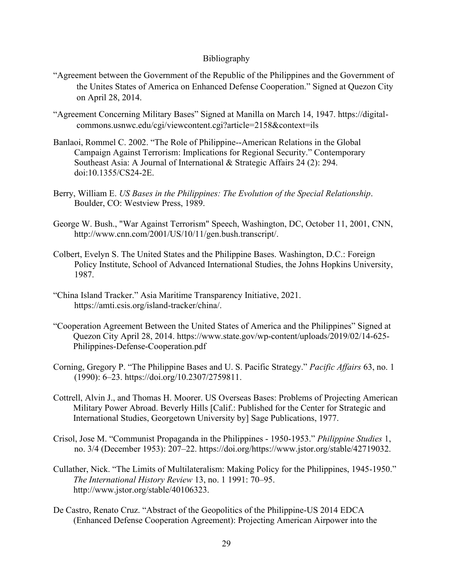# Bibliography

- "Agreement between the Government of the Republic of the Philippines and the Government of the Unites States of America on Enhanced Defense Cooperation." Signed at Quezon City on April 28, 2014.
- "Agreement Concerning Military Bases" Signed at Manilla on March 14, 1947. https://digitalcommons.usnwc.edu/cgi/viewcontent.cgi?article=2158&context=ils
- Banlaoi, Rommel C. 2002. "The Role of Philippine--American Relations in the Global Campaign Against Terrorism: Implications for Regional Security." Contemporary Southeast Asia: A Journal of International & Strategic Affairs 24 (2): 294. doi:10.1355/CS24-2E.
- Berry, William E. *US Bases in the Philippines: The Evolution of the Special Relationship*. Boulder, CO: Westview Press, 1989.
- George W. Bush., "War Against Terrorism" Speech, Washington, DC, October 11, 2001, CNN, http://www.cnn.com/2001/US/10/11/gen.bush.transcript/.
- Colbert, Evelyn S. The United States and the Philippine Bases. Washington, D.C.: Foreign Policy Institute, School of Advanced International Studies, the Johns Hopkins University, 1987.
- "China Island Tracker." Asia Maritime Transparency Initiative, 2021. https://amti.csis.org/island-tracker/china/.
- "Cooperation Agreement Between the United States of America and the Philippines" Signed at Quezon City April 28, 2014. https://www.state.gov/wp-content/uploads/2019/02/14-625- Philippines-Defense-Cooperation.pdf
- Corning, Gregory P. "The Philippine Bases and U. S. Pacific Strategy." *Pacific Affairs* 63, no. 1 (1990): 6–23. https://doi.org/10.2307/2759811.
- Cottrell, Alvin J., and Thomas H. Moorer. US Overseas Bases: Problems of Projecting American Military Power Abroad. Beverly Hills [Calif.: Published for the Center for Strategic and International Studies, Georgetown University by] Sage Publications, 1977.
- Crisol, Jose M. "Communist Propaganda in the Philippines 1950-1953." *Philippine Studies* 1, no. 3/4 (December 1953): 207–22. https://doi.org/https://www.jstor.org/stable/42719032.
- Cullather, Nick. "The Limits of Multilateralism: Making Policy for the Philippines, 1945-1950." *The International History Review* 13, no. 1 1991: 70–95. http://www.jstor.org/stable/40106323.
- De Castro, Renato Cruz. "Abstract of the Geopolitics of the Philippine-US 2014 EDCA (Enhanced Defense Cooperation Agreement): Projecting American Airpower into the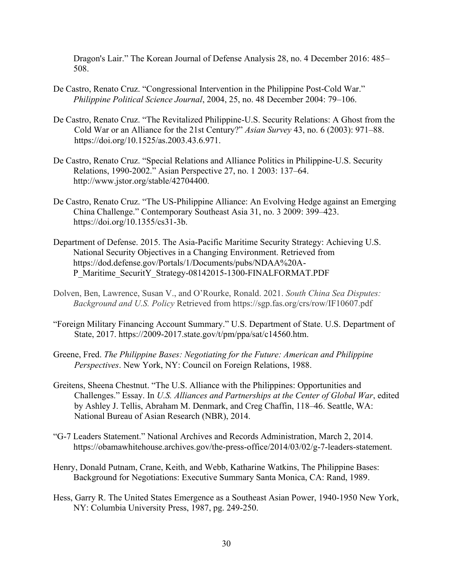Dragon's Lair." The Korean Journal of Defense Analysis 28, no. 4 December 2016: 485– 508.

- De Castro, Renato Cruz. "Congressional Intervention in the Philippine Post-Cold War." *Philippine Political Science Journal*, 2004, 25, no. 48 December 2004: 79–106.
- De Castro, Renato Cruz. "The Revitalized Philippine-U.S. Security Relations: A Ghost from the Cold War or an Alliance for the 21st Century?" *Asian Survey* 43, no. 6 (2003): 971–88. https://doi.org/10.1525/as.2003.43.6.971.
- De Castro, Renato Cruz. "Special Relations and Alliance Politics in Philippine-U.S. Security Relations, 1990-2002." Asian Perspective 27, no. 1 2003: 137–64. http://www.jstor.org/stable/42704400.
- De Castro, Renato Cruz. "The US-Philippine Alliance: An Evolving Hedge against an Emerging China Challenge." Contemporary Southeast Asia 31, no. 3 2009: 399–423. https://doi.org/10.1355/cs31-3b.
- Department of Defense. 2015. The Asia-Pacific Maritime Security Strategy: Achieving U.S. National Security Objectives in a Changing Environment. Retrieved from https://dod.defense.gov/Portals/1/Documents/pubs/NDAA%20A-P\_Maritime\_SecuritY\_Strategy-08142015-1300-FINALFORMAT.PDF
- Dolven, Ben, Lawrence, Susan V., and O'Rourke, Ronald. 2021. *South China Sea Disputes: Background and U.S. Policy* Retrieved from https://sgp.fas.org/crs/row/IF10607.pdf
- "Foreign Military Financing Account Summary." U.S. Department of State. U.S. Department of State, 2017. https://2009-2017.state.gov/t/pm/ppa/sat/c14560.htm.
- Greene, Fred. *The Philippine Bases: Negotiating for the Future: American and Philippine Perspectives*. New York, NY: Council on Foreign Relations, 1988.
- Greitens, Sheena Chestnut. "The U.S. Alliance with the Philippines: Opportunities and Challenges." Essay. In *U.S. Alliances and Partnerships at the Center of Global War*, edited by Ashley J. Tellis, Abraham M. Denmark, and Creg Chaffin, 118–46. Seattle, WA: National Bureau of Asian Research (NBR), 2014.
- "G-7 Leaders Statement." National Archives and Records Administration, March 2, 2014. https://obamawhitehouse.archives.gov/the-press-office/2014/03/02/g-7-leaders-statement.
- Henry, Donald Putnam, Crane, Keith, and Webb, Katharine Watkins, The Philippine Bases: Background for Negotiations: Executive Summary Santa Monica, CA: Rand, 1989.
- Hess, Garry R. The United States Emergence as a Southeast Asian Power, 1940-1950 New York, NY: Columbia University Press, 1987, pg. 249-250.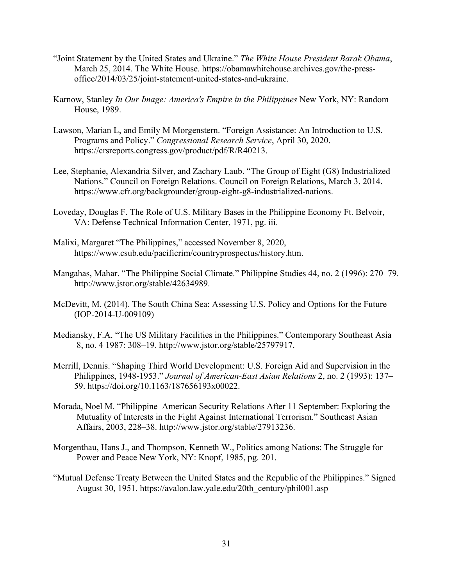- "Joint Statement by the United States and Ukraine." *The White House President Barak Obama*, March 25, 2014. The White House. https://obamawhitehouse.archives.gov/the-pressoffice/2014/03/25/joint-statement-united-states-and-ukraine.
- Karnow, Stanley *In Our Image: America's Empire in the Philippines* New York, NY: Random House, 1989.
- Lawson, Marian L, and Emily M Morgenstern. "Foreign Assistance: An Introduction to U.S. Programs and Policy." *Congressional Research Service*, April 30, 2020. https://crsreports.congress.gov/product/pdf/R/R40213.
- Lee, Stephanie, Alexandria Silver, and Zachary Laub. "The Group of Eight (G8) Industrialized Nations." Council on Foreign Relations. Council on Foreign Relations, March 3, 2014. https://www.cfr.org/backgrounder/group-eight-g8-industrialized-nations.
- Loveday, Douglas F. The Role of U.S. Military Bases in the Philippine Economy Ft. Belvoir, VA: Defense Technical Information Center, 1971, pg. iii.
- Malixi, Margaret "The Philippines," accessed November 8, 2020, https://www.csub.edu/pacificrim/countryprospectus/history.htm.
- Mangahas, Mahar. "The Philippine Social Climate." Philippine Studies 44, no. 2 (1996): 270–79. http://www.jstor.org/stable/42634989.
- McDevitt, M. (2014). The South China Sea: Assessing U.S. Policy and Options for the Future (IOP-2014-U-009109)
- Mediansky, F.A. "The US Military Facilities in the Philippines." Contemporary Southeast Asia 8, no. 4 1987: 308–19. http://www.jstor.org/stable/25797917.
- Merrill, Dennis. "Shaping Third World Development: U.S. Foreign Aid and Supervision in the Philippines, 1948-1953." *Journal of American-East Asian Relations* 2, no. 2 (1993): 137– 59. https://doi.org/10.1163/187656193x00022.
- Morada, Noel M. "Philippine–American Security Relations After 11 September: Exploring the Mutuality of Interests in the Fight Against International Terrorism." Southeast Asian Affairs, 2003, 228–38. http://www.jstor.org/stable/27913236.
- Morgenthau, Hans J., and Thompson, Kenneth W., Politics among Nations: The Struggle for Power and Peace New York, NY: Knopf, 1985, pg. 201.
- "Mutual Defense Treaty Between the United States and the Republic of the Philippines." Signed August 30, 1951. https://avalon.law.yale.edu/20th\_century/phil001.asp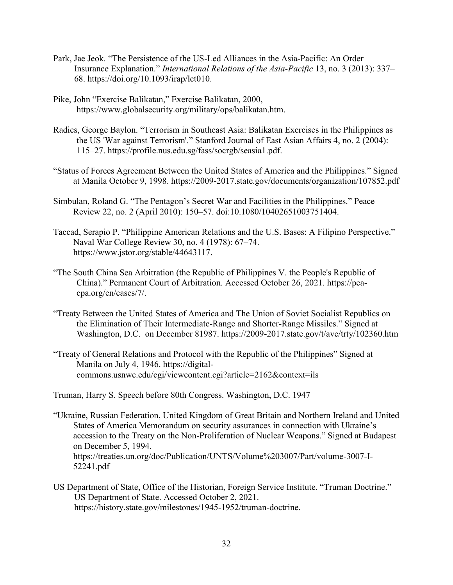- Park, Jae Jeok. "The Persistence of the US-Led Alliances in the Asia-Pacific: An Order Insurance Explanation." *International Relations of the Asia-Pacific* 13, no. 3 (2013): 337– 68. https://doi.org/10.1093/irap/lct010.
- Pike, John "Exercise Balikatan," Exercise Balikatan, 2000, https://www.globalsecurity.org/military/ops/balikatan.htm.
- Radics, George Baylon. "Terrorism in Southeast Asia: Balikatan Exercises in the Philippines as the US 'War against Terrorism'." Stanford Journal of East Asian Affairs 4, no. 2 (2004): 115–27. https://profile.nus.edu.sg/fass/socrgb/seasia1.pdf.
- "Status of Forces Agreement Between the United States of America and the Philippines." Signed at Manila October 9, 1998. https://2009-2017.state.gov/documents/organization/107852.pdf
- Simbulan, Roland G. "The Pentagon's Secret War and Facilities in the Philippines." Peace Review 22, no. 2 (April 2010): 150–57. doi:10.1080/10402651003751404.
- Taccad, Serapio P. "Philippine American Relations and the U.S. Bases: A Filipino Perspective." Naval War College Review 30, no. 4 (1978): 67–74. https://www.jstor.org/stable/44643117.
- "The South China Sea Arbitration (the Republic of Philippines V. the People's Republic of China)." Permanent Court of Arbitration. Accessed October 26, 2021. https://pcacpa.org/en/cases/7/.
- "Treaty Between the United States of America and The Union of Soviet Socialist Republics on the Elimination of Their Intermediate-Range and Shorter-Range Missiles." Signed at Washington, D.C. on December 81987. https://2009-2017.state.gov/t/avc/trty/102360.htm
- "Treaty of General Relations and Protocol with the Republic of the Philippines" Signed at Manila on July 4, 1946. https://digitalcommons.usnwc.edu/cgi/viewcontent.cgi?article=2162&context=ils

Truman, Harry S. Speech before 80th Congress. Washington, D.C. 1947

- "Ukraine, Russian Federation, United Kingdom of Great Britain and Northern Ireland and United States of America Memorandum on security assurances in connection with Ukraine's accession to the Treaty on the Non-Proliferation of Nuclear Weapons." Signed at Budapest on December 5, 1994. https://treaties.un.org/doc/Publication/UNTS/Volume%203007/Part/volume-3007-I-52241.pdf
- US Department of State, Office of the Historian, Foreign Service Institute. "Truman Doctrine." US Department of State. Accessed October 2, 2021. https://history.state.gov/milestones/1945-1952/truman-doctrine.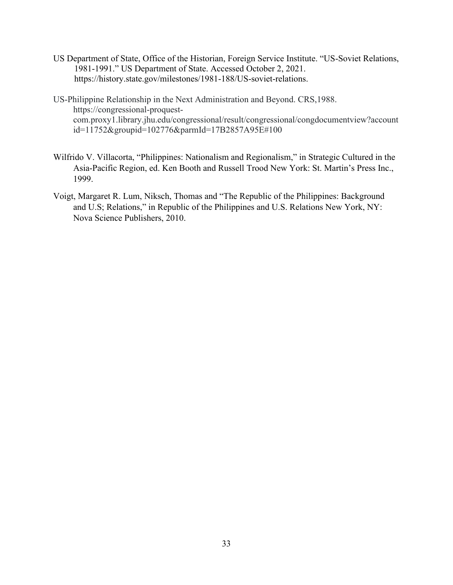US Department of State, Office of the Historian, Foreign Service Institute. "US-Soviet Relations, 1981-1991." US Department of State. Accessed October 2, 2021. https://history.state.gov/milestones/1981-188/US-soviet-relations.

US-Philippine Relationship in the Next Administration and Beyond. CRS,1988. https://congressional-proquestcom.proxy1.library.jhu.edu/congressional/result/congressional/congdocumentview?account id=11752&groupid=102776&parmId=17B2857A95E#100

- Wilfrido V. Villacorta, "Philippines: Nationalism and Regionalism," in Strategic Cultured in the Asia-Pacific Region, ed. Ken Booth and Russell Trood New York: St. Martin's Press Inc., 1999.
- Voigt, Margaret R. Lum, Niksch, Thomas and "The Republic of the Philippines: Background and U.S; Relations," in Republic of the Philippines and U.S. Relations New York, NY: Nova Science Publishers, 2010.